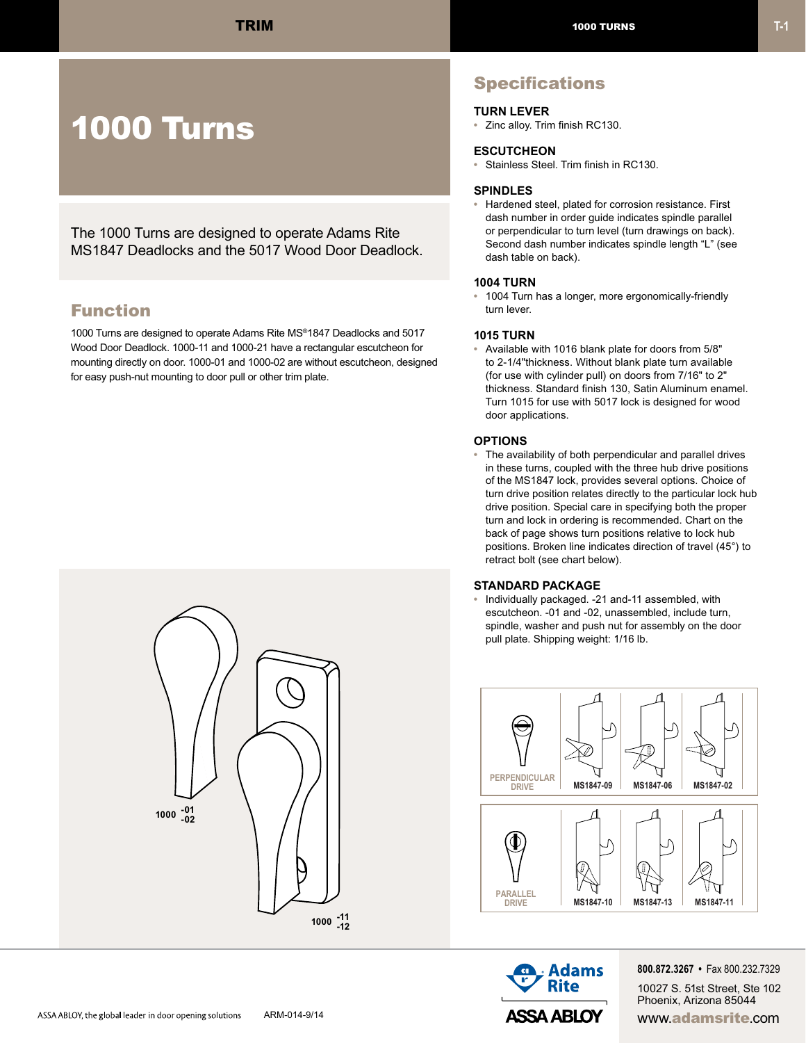# 1000 Turns

The 1000 Turns are designed to operate Adams Rite MS1847 Deadlocks and the 5017 Wood Door Deadlock.

### Function

1000 Turns are designed to operate Adams Rite MS®1847 Deadlocks and 5017 Wood Door Deadlock. 1000-11 and 1000-21 have a rectangular escutcheon for mounting directly on door. 1000-01 and 1000-02 are without escutcheon, designed for easy push-nut mounting to door pull or other trim plate.



## **Specifications**

#### **TURN LEVER**

**•** Zinc alloy. Trim finish RC130.

#### **ESCUTCHEON**

**ECCCTOREON**<br>• Stainless Steel. Trim finish in RC130. #6 FLAT

### **SPINDLES**

**•** Hardened steel, plated for corrosion resistance. First dash number in order guide indicates spindle parallel **23/32"** 18.3mm or perpendicular to turn level (turn drawings on back). Second dash number indicates spindle length "L" (see dash table on back).

#### **1004 TURN**

**•** 1004 Turn has a longer, more ergonomically-friendly 1004 Turn<br>turn lever.

#### **1015 TURN**

**•** Available with 1016 blank plate for doors from 5/8" to 2-1/4"thickness. Without blank plate turn available **L\*** (for use with cylinder pull) on doors from 7/16" to 2" thickness. Standard finish 130, Satin Aluminum enamel. Turn 1015 for use with 5017 lock is designed for wood door applications.

#### **OPTIONS**

**•** The availability of both perpendicular and parallel drives in these turns, coupled with the three hub drive positions of the MS1847 lock, provides several options. Choice of turn drive position relates directly to the particular lock hub drive position. Special care in specifying both the proper turn and lock in ordering is recommended. Chart on the back of page shows turn positions relative to lock hub positions. Broken line indicates direction of travel (45°) to retract bolt (see chart below).

### **STANDARD PACKAGE**

**•** Individually packaged. -21 and-11 assembled, with escutcheon. -01 and -02, unassembled, include turn, spindle, washer and push nut for assembly on the door pull plate. Shipping weight: 1/16 lb.





**800.872.3267 •** Fax 800.232.7329 10027 S. 51st Street, Ste 102 Phoenix, Arizona 85044

ASSA ABLOY, the global leader in door opening solutions